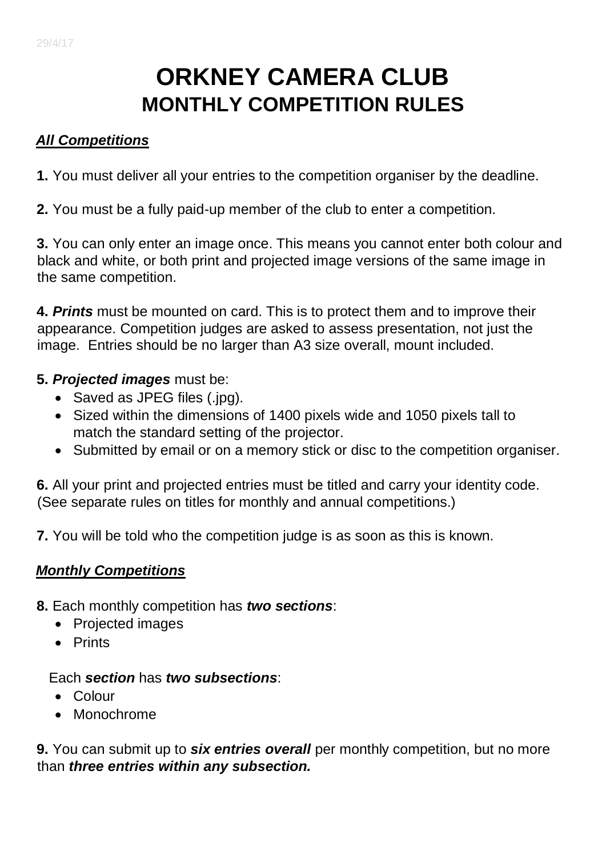# **ORKNEY CAMERA CLUB MONTHLY COMPETITION RULES**

## *All Competitions*

**1.** You must deliver all your entries to the competition organiser by the deadline.

**2.** You must be a fully paid-up member of the club to enter a competition.

**3.** You can only enter an image once. This means you cannot enter both colour and black and white, or both print and projected image versions of the same image in the same competition.

**4.** *Prints* must be mounted on card. This is to protect them and to improve their appearance. Competition judges are asked to assess presentation, not just the image. Entries should be no larger than A3 size overall, mount included.

## **5.** *Projected images* must be:

- Saved as JPEG files (.jpg).
- Sized within the dimensions of 1400 pixels wide and 1050 pixels tall to match the standard setting of the projector.
- Submitted by email or on a memory stick or disc to the competition organiser.

**6.** All your print and projected entries must be titled and carry your identity code. (See separate rules on titles for monthly and annual competitions.)

**7.** You will be told who the competition judge is as soon as this is known.

## *Monthly Competitions*

- **8.** Each monthly competition has *two sections*:
	- Projected images
	- Prints

#### Each *section* has *two subsections*:

- Colour
- Monochrome

**9.** You can submit up to *six entries overall* per monthly competition, but no more than *three entries within any subsection.*